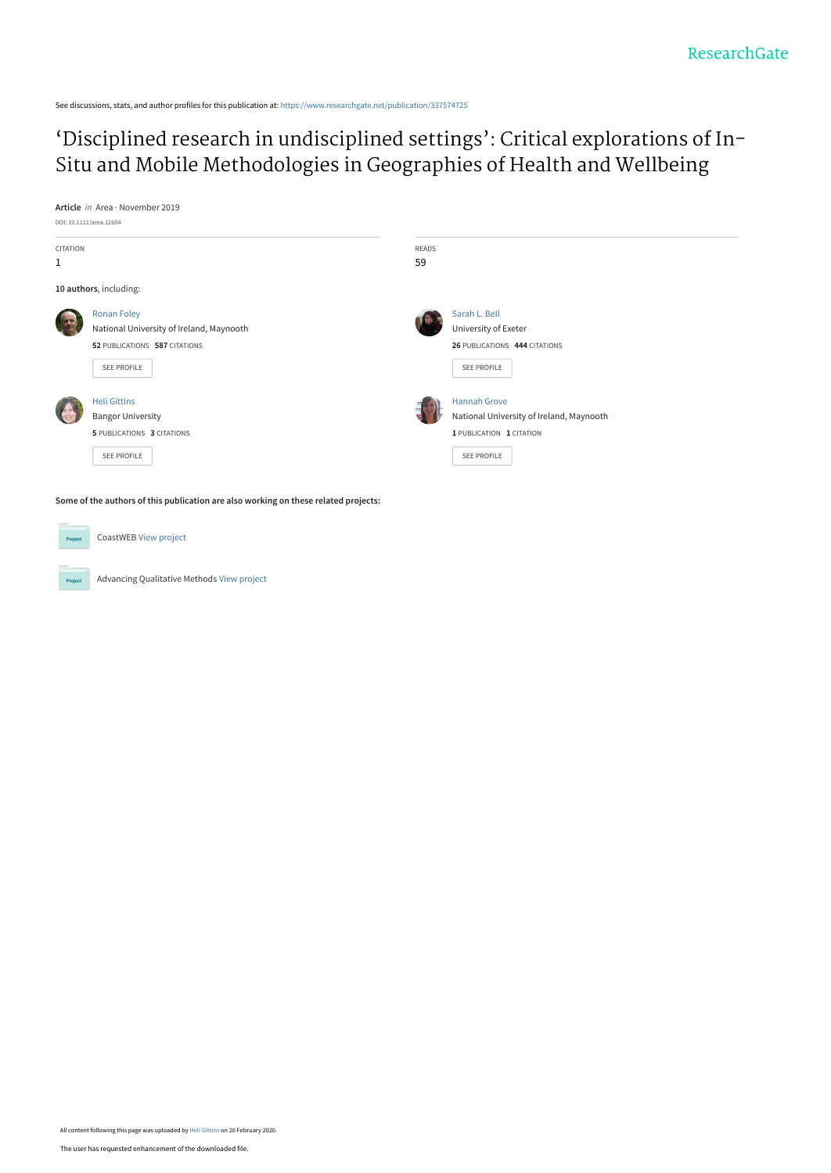See discussions, stats, and author profiles for this publication at: [https://www.researchgate.net/publication/337574725](https://www.researchgate.net/publication/337574725_%27Disciplined_research_in_undisciplined_settings%27_Critical_explorations_of_In-Situ_and_Mobile_Methodologies_in_Geographies_of_Health_and_Wellbeing?enrichId=rgreq-97e97af51714a389a50f3a4566f37adf-XXX&enrichSource=Y292ZXJQYWdlOzMzNzU3NDcyNTtBUzo4NjA2NTkyOTQxNTg4NTBAMTU4MjIwODU3NDcyOQ%3D%3D&el=1_x_2&_esc=publicationCoverPdf)

['Disciplined research in undisciplined settings': Critical explorations of In‐](https://www.researchgate.net/publication/337574725_%27Disciplined_research_in_undisciplined_settings%27_Critical_explorations_of_In-Situ_and_Mobile_Methodologies_in_Geographies_of_Health_and_Wellbeing?enrichId=rgreq-97e97af51714a389a50f3a4566f37adf-XXX&enrichSource=Y292ZXJQYWdlOzMzNzU3NDcyNTtBUzo4NjA2NTkyOTQxNTg4NTBAMTU4MjIwODU3NDcyOQ%3D%3D&el=1_x_3&_esc=publicationCoverPdf) Situ and Mobile Methodologies in Geographies of Health and Wellbeing





**Some of the authors of this publication are also working on these related projects:**

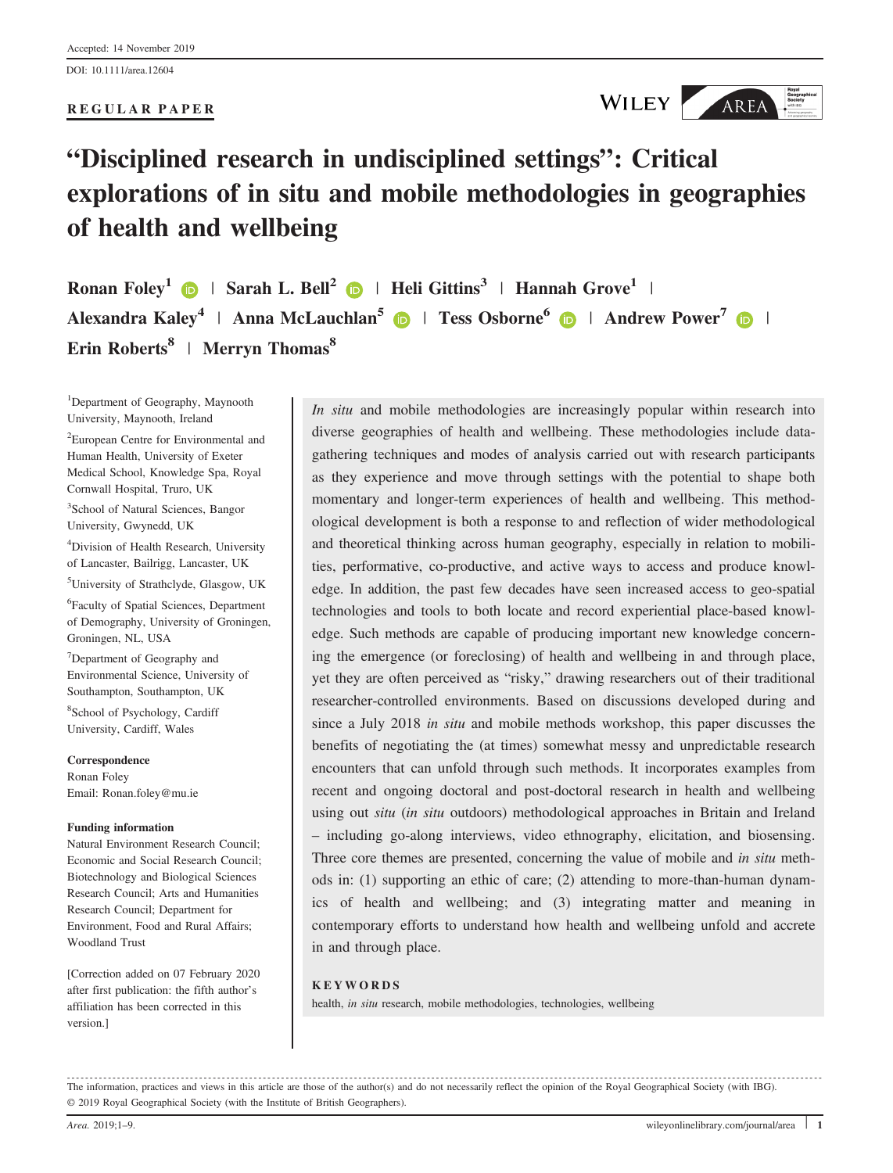DOI: 10.1111/area.12604

REGULAR PAPER



# "Disciplined research in undisciplined settings": Critical explorations of in situ and mobile methodologies in geographies of health and wellbeing

Ronan Foley<sup>1</sup>  $\odot$  | Sarah L. Bell<sup>2</sup>  $\odot$  | Heli Gittins<sup>3</sup> | Hannah Grove<sup>1</sup> | Alexandra Kaley<sup>4</sup> | Anna McLauchlan<sup>[5](https://orcid.org/0000-0002-1790-8619)</sup>  $\bullet$  | Tess Osborne<sup>6</sup>  $\bullet$  | Andrew Power<sup>7</sup>  $\bullet$  | Erin Roberts<sup>8</sup> | Merryn Thomas<sup>8</sup>

<sup>1</sup>Department of Geography, Maynooth University, Maynooth, Ireland

2 European Centre for Environmental and Human Health, University of Exeter Medical School, Knowledge Spa, Royal Cornwall Hospital, Truro, UK

3 School of Natural Sciences, Bangor University, Gwynedd, UK

4 Division of Health Research, University of Lancaster, Bailrigg, Lancaster, UK

5 University of Strathclyde, Glasgow, UK

6 Faculty of Spatial Sciences, Department of Demography, University of Groningen, Groningen, NL, USA

<sup>7</sup>Department of Geography and Environmental Science, University of Southampton, Southampton, UK

8 School of Psychology, Cardiff University, Cardiff, Wales

Correspondence Ronan Foley Email: [Ronan.foley@mu.ie](mailto:)

#### Funding information

Natural Environment Research Council; Economic and Social Research Council; Biotechnology and Biological Sciences Research Council; Arts and Humanities Research Council; Department for Environment, Food and Rural Affairs; Woodland Trust

[Correction added on 07 February 2020 after first publication: the fifth author's affiliation has been corrected in this version.]

In situ and mobile methodologies are increasingly popular within research into diverse geographies of health and wellbeing. These methodologies include datagathering techniques and modes of analysis carried out with research participants as they experience and move through settings with the potential to shape both momentary and longer‐term experiences of health and wellbeing. This methodological development is both a response to and reflection of wider methodological and theoretical thinking across human geography, especially in relation to mobilities, performative, co-productive, and active ways to access and produce knowledge. In addition, the past few decades have seen increased access to geo-spatial technologies and tools to both locate and record experiential place-based knowledge. Such methods are capable of producing important new knowledge concerning the emergence (or foreclosing) of health and wellbeing in and through place, yet they are often perceived as "risky," drawing researchers out of their traditional researcher‐controlled environments. Based on discussions developed during and since a July 2018 in situ and mobile methods workshop, this paper discusses the benefits of negotiating the (at times) somewhat messy and unpredictable research encounters that can unfold through such methods. It incorporates examples from recent and ongoing doctoral and post‐doctoral research in health and wellbeing using out *situ* (in *situ* outdoors) methodological approaches in Britain and Ireland – including go‐along interviews, video ethnography, elicitation, and biosensing. Three core themes are presented, concerning the value of mobile and in situ methods in: (1) supporting an ethic of care; (2) attending to more-than-human dynamics of health and wellbeing; and (3) integrating matter and meaning in contemporary efforts to understand how health and wellbeing unfold and accrete in and through place.

#### **KEYWORDS**

health, in situ research, mobile methodologies, technologies, wellbeing

The information, practices and views in this article are those of the author(s) and do not necessarily reflect the opinion of the Royal Geographical Society (with IBG). © 2019 Royal Geographical Society (with the Institute of British Geographers).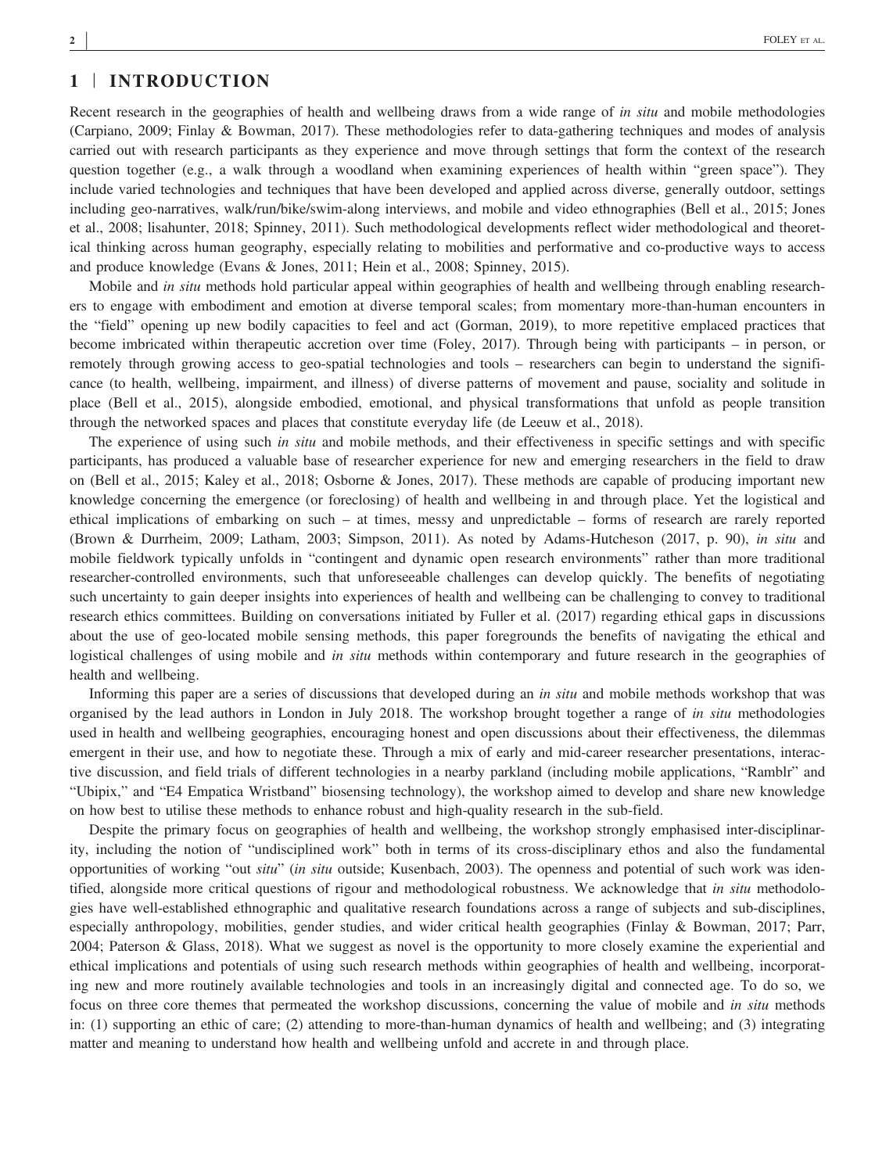## 1 | INTRODUCTION

Recent research in the geographies of health and wellbeing draws from a wide range of *in situ* and mobile methodologies (Carpiano, 2009; Finlay & Bowman, 2017). These methodologies refer to data‐gathering techniques and modes of analysis carried out with research participants as they experience and move through settings that form the context of the research question together (e.g., a walk through a woodland when examining experiences of health within "green space"). They include varied technologies and techniques that have been developed and applied across diverse, generally outdoor, settings including geo-narratives, walk/run/bike/swim-along interviews, and mobile and video ethnographies (Bell et al., 2015; Jones et al., 2008; lisahunter, 2018; Spinney, 2011). Such methodological developments reflect wider methodological and theoretical thinking across human geography, especially relating to mobilities and performative and co-productive ways to access and produce knowledge (Evans & Jones, 2011; Hein et al., 2008; Spinney, 2015).

Mobile and *in situ* methods hold particular appeal within geographies of health and wellbeing through enabling researchers to engage with embodiment and emotion at diverse temporal scales; from momentary more-than-human encounters in the "field" opening up new bodily capacities to feel and act (Gorman, 2019), to more repetitive emplaced practices that become imbricated within therapeutic accretion over time (Foley, 2017). Through being with participants – in person, or remotely through growing access to geo-spatial technologies and tools – researchers can begin to understand the significance (to health, wellbeing, impairment, and illness) of diverse patterns of movement and pause, sociality and solitude in place (Bell et al., 2015), alongside embodied, emotional, and physical transformations that unfold as people transition through the networked spaces and places that constitute everyday life (de Leeuw et al., 2018).

The experience of using such *in situ* and mobile methods, and their effectiveness in specific settings and with specific participants, has produced a valuable base of researcher experience for new and emerging researchers in the field to draw on (Bell et al., 2015; Kaley et al., 2018; Osborne & Jones, 2017). These methods are capable of producing important new knowledge concerning the emergence (or foreclosing) of health and wellbeing in and through place. Yet the logistical and ethical implications of embarking on such – at times, messy and unpredictable – forms of research are rarely reported (Brown & Durrheim, 2009; Latham, 2003; Simpson, 2011). As noted by Adams‐Hutcheson (2017, p. 90), in situ and mobile fieldwork typically unfolds in "contingent and dynamic open research environments" rather than more traditional researcher-controlled environments, such that unforeseeable challenges can develop quickly. The benefits of negotiating such uncertainty to gain deeper insights into experiences of health and wellbeing can be challenging to convey to traditional research ethics committees. Building on conversations initiated by Fuller et al. (2017) regarding ethical gaps in discussions about the use of geo‐located mobile sensing methods, this paper foregrounds the benefits of navigating the ethical and logistical challenges of using mobile and in *situ* methods within contemporary and future research in the geographies of health and wellbeing.

Informing this paper are a series of discussions that developed during an *in situ* and mobile methods workshop that was organised by the lead authors in London in July 2018. The workshop brought together a range of in situ methodologies used in health and wellbeing geographies, encouraging honest and open discussions about their effectiveness, the dilemmas emergent in their use, and how to negotiate these. Through a mix of early and mid-career researcher presentations, interactive discussion, and field trials of different technologies in a nearby parkland (including mobile applications, "Ramblr" and "Ubipix," and "E4 Empatica Wristband" biosensing technology), the workshop aimed to develop and share new knowledge on how best to utilise these methods to enhance robust and high‐quality research in the sub‐field.

Despite the primary focus on geographies of health and wellbeing, the workshop strongly emphasised inter-disciplinarity, including the notion of "undisciplined work" both in terms of its cross‐disciplinary ethos and also the fundamental opportunities of working "out situ" (in situ outside; Kusenbach, 2003). The openness and potential of such work was identified, alongside more critical questions of rigour and methodological robustness. We acknowledge that in situ methodologies have well‐established ethnographic and qualitative research foundations across a range of subjects and sub‐disciplines, especially anthropology, mobilities, gender studies, and wider critical health geographies (Finlay & Bowman, 2017; Parr, 2004; Paterson & Glass, 2018). What we suggest as novel is the opportunity to more closely examine the experiential and ethical implications and potentials of using such research methods within geographies of health and wellbeing, incorporating new and more routinely available technologies and tools in an increasingly digital and connected age. To do so, we focus on three core themes that permeated the workshop discussions, concerning the value of mobile and in situ methods in: (1) supporting an ethic of care; (2) attending to more-than-human dynamics of health and wellbeing; and (3) integrating matter and meaning to understand how health and wellbeing unfold and accrete in and through place.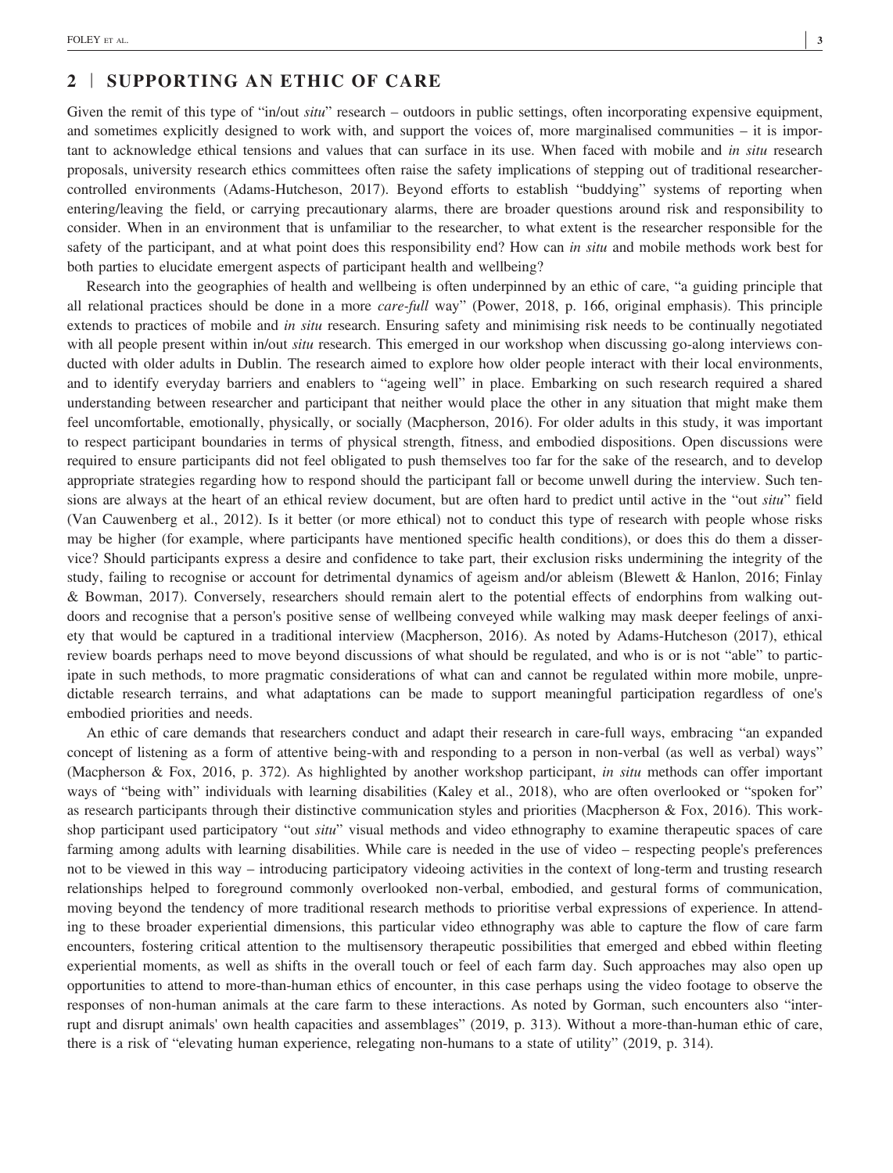# 2 | SUPPORTING AN ETHIC OF CARE

Given the remit of this type of "in/out *situ*" research – outdoors in public settings, often incorporating expensive equipment, and sometimes explicitly designed to work with, and support the voices of, more marginalised communities – it is important to acknowledge ethical tensions and values that can surface in its use. When faced with mobile and in situ research proposals, university research ethics committees often raise the safety implications of stepping out of traditional researcher‐ controlled environments (Adams-Hutcheson, 2017). Beyond efforts to establish "buddying" systems of reporting when entering/leaving the field, or carrying precautionary alarms, there are broader questions around risk and responsibility to consider. When in an environment that is unfamiliar to the researcher, to what extent is the researcher responsible for the safety of the participant, and at what point does this responsibility end? How can in situ and mobile methods work best for both parties to elucidate emergent aspects of participant health and wellbeing?

Research into the geographies of health and wellbeing is often underpinned by an ethic of care, "a guiding principle that all relational practices should be done in a more *care-full* way" (Power, 2018, p. 166, original emphasis). This principle extends to practices of mobile and in situ research. Ensuring safety and minimising risk needs to be continually negotiated with all people present within in/out *situ* research. This emerged in our workshop when discussing go-along interviews conducted with older adults in Dublin. The research aimed to explore how older people interact with their local environments, and to identify everyday barriers and enablers to "ageing well" in place. Embarking on such research required a shared understanding between researcher and participant that neither would place the other in any situation that might make them feel uncomfortable, emotionally, physically, or socially (Macpherson, 2016). For older adults in this study, it was important to respect participant boundaries in terms of physical strength, fitness, and embodied dispositions. Open discussions were required to ensure participants did not feel obligated to push themselves too far for the sake of the research, and to develop appropriate strategies regarding how to respond should the participant fall or become unwell during the interview. Such tensions are always at the heart of an ethical review document, but are often hard to predict until active in the "out *situ*" field (Van Cauwenberg et al., 2012). Is it better (or more ethical) not to conduct this type of research with people whose risks may be higher (for example, where participants have mentioned specific health conditions), or does this do them a disservice? Should participants express a desire and confidence to take part, their exclusion risks undermining the integrity of the study, failing to recognise or account for detrimental dynamics of ageism and/or ableism (Blewett & Hanlon, 2016; Finlay & Bowman, 2017). Conversely, researchers should remain alert to the potential effects of endorphins from walking outdoors and recognise that a person's positive sense of wellbeing conveyed while walking may mask deeper feelings of anxiety that would be captured in a traditional interview (Macpherson, 2016). As noted by Adams‐Hutcheson (2017), ethical review boards perhaps need to move beyond discussions of what should be regulated, and who is or is not "able" to participate in such methods, to more pragmatic considerations of what can and cannot be regulated within more mobile, unpredictable research terrains, and what adaptations can be made to support meaningful participation regardless of one's embodied priorities and needs.

An ethic of care demands that researchers conduct and adapt their research in care-full ways, embracing "an expanded concept of listening as a form of attentive being-with and responding to a person in non-verbal (as well as verbal) ways" (Macpherson & Fox, 2016, p. 372). As highlighted by another workshop participant, in situ methods can offer important ways of "being with" individuals with learning disabilities (Kaley et al., 2018), who are often overlooked or "spoken for" as research participants through their distinctive communication styles and priorities (Macpherson & Fox, 2016). This workshop participant used participatory "out *situ*" visual methods and video ethnography to examine therapeutic spaces of care farming among adults with learning disabilities. While care is needed in the use of video – respecting people's preferences not to be viewed in this way – introducing participatory videoing activities in the context of long-term and trusting research relationships helped to foreground commonly overlooked non‐verbal, embodied, and gestural forms of communication, moving beyond the tendency of more traditional research methods to prioritise verbal expressions of experience. In attending to these broader experiential dimensions, this particular video ethnography was able to capture the flow of care farm encounters, fostering critical attention to the multisensory therapeutic possibilities that emerged and ebbed within fleeting experiential moments, as well as shifts in the overall touch or feel of each farm day. Such approaches may also open up opportunities to attend to more‐than‐human ethics of encounter, in this case perhaps using the video footage to observe the responses of non-human animals at the care farm to these interactions. As noted by Gorman, such encounters also "interrupt and disrupt animals' own health capacities and assemblages" (2019, p. 313). Without a more‐than‐human ethic of care, there is a risk of "elevating human experience, relegating non‐humans to a state of utility" (2019, p. 314).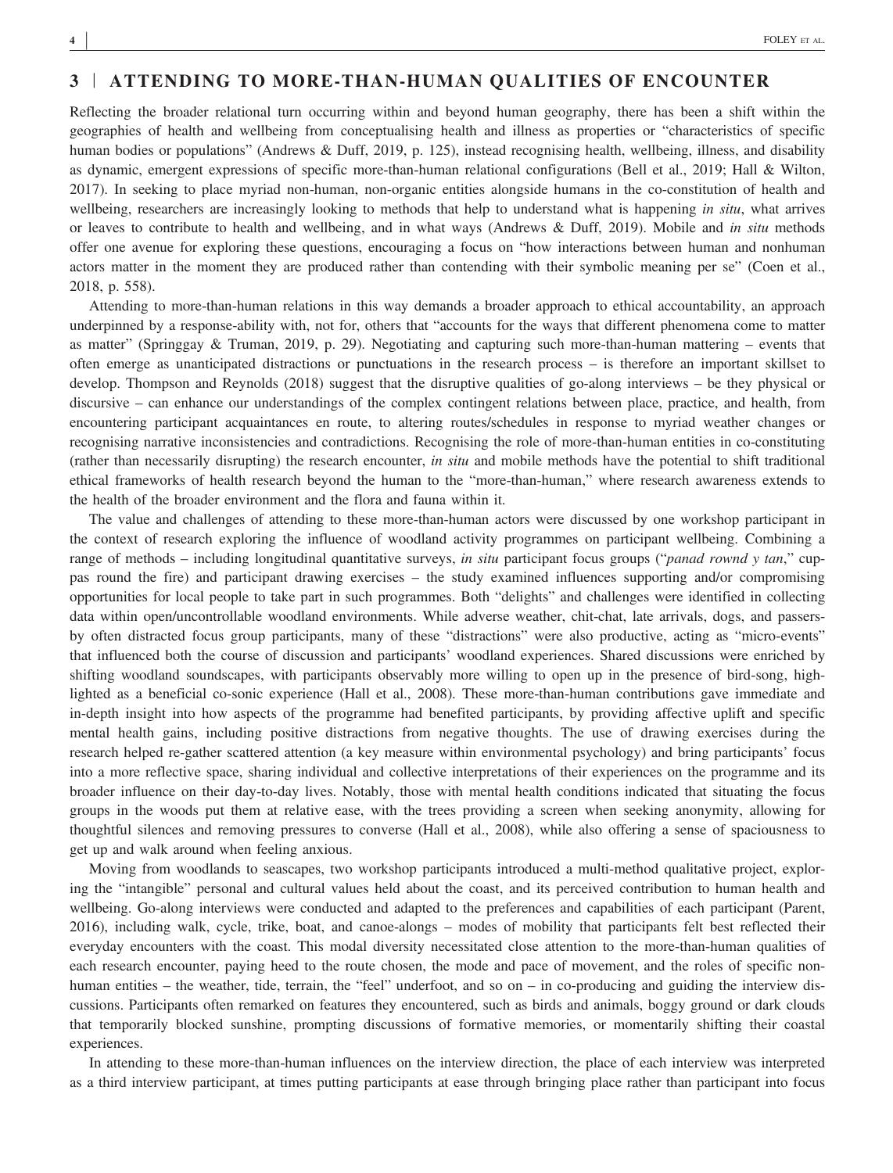### 3 | ATTENDING TO MORE-THAN-HUMAN QUALITIES OF ENCOUNTER

Reflecting the broader relational turn occurring within and beyond human geography, there has been a shift within the geographies of health and wellbeing from conceptualising health and illness as properties or "characteristics of specific human bodies or populations" (Andrews & Duff, 2019, p. 125), instead recognising health, wellbeing, illness, and disability as dynamic, emergent expressions of specific more-than-human relational configurations (Bell et al., 2019; Hall & Wilton, 2017). In seeking to place myriad non‐human, non‐organic entities alongside humans in the co‐constitution of health and wellbeing, researchers are increasingly looking to methods that help to understand what is happening in situ, what arrives or leaves to contribute to health and wellbeing, and in what ways (Andrews & Duff, 2019). Mobile and in situ methods offer one avenue for exploring these questions, encouraging a focus on "how interactions between human and nonhuman actors matter in the moment they are produced rather than contending with their symbolic meaning per se" (Coen et al., 2018, p. 558).

Attending to more-than-human relations in this way demands a broader approach to ethical accountability, an approach underpinned by a response-ability with, not for, others that "accounts for the ways that different phenomena come to matter as matter" (Springgay & Truman, 2019, p. 29). Negotiating and capturing such more-than-human mattering – events that often emerge as unanticipated distractions or punctuations in the research process – is therefore an important skillset to develop. Thompson and Reynolds (2018) suggest that the disruptive qualities of go-along interviews – be they physical or discursive – can enhance our understandings of the complex contingent relations between place, practice, and health, from encountering participant acquaintances en route, to altering routes/schedules in response to myriad weather changes or recognising narrative inconsistencies and contradictions. Recognising the role of more-than-human entities in co-constituting (rather than necessarily disrupting) the research encounter, in situ and mobile methods have the potential to shift traditional ethical frameworks of health research beyond the human to the "more‐than‐human," where research awareness extends to the health of the broader environment and the flora and fauna within it.

The value and challenges of attending to these more-than-human actors were discussed by one workshop participant in the context of research exploring the influence of woodland activity programmes on participant wellbeing. Combining a range of methods – including longitudinal quantitative surveys, in situ participant focus groups ("*panad rownd* y tan," cuppas round the fire) and participant drawing exercises – the study examined influences supporting and/or compromising opportunities for local people to take part in such programmes. Both "delights" and challenges were identified in collecting data within open/uncontrollable woodland environments. While adverse weather, chit-chat, late arrivals, dogs, and passersby often distracted focus group participants, many of these "distractions" were also productive, acting as "micro‐events" that influenced both the course of discussion and participants' woodland experiences. Shared discussions were enriched by shifting woodland soundscapes, with participants observably more willing to open up in the presence of bird-song, highlighted as a beneficial co-sonic experience (Hall et al., 2008). These more-than-human contributions gave immediate and in-depth insight into how aspects of the programme had benefited participants, by providing affective uplift and specific mental health gains, including positive distractions from negative thoughts. The use of drawing exercises during the research helped re‐gather scattered attention (a key measure within environmental psychology) and bring participants' focus into a more reflective space, sharing individual and collective interpretations of their experiences on the programme and its broader influence on their day‐to‐day lives. Notably, those with mental health conditions indicated that situating the focus groups in the woods put them at relative ease, with the trees providing a screen when seeking anonymity, allowing for thoughtful silences and removing pressures to converse (Hall et al., 2008), while also offering a sense of spaciousness to get up and walk around when feeling anxious.

Moving from woodlands to seascapes, two workshop participants introduced a multi‐method qualitative project, exploring the "intangible" personal and cultural values held about the coast, and its perceived contribution to human health and wellbeing. Go-along interviews were conducted and adapted to the preferences and capabilities of each participant (Parent, 2016), including walk, cycle, trike, boat, and canoe‐alongs – modes of mobility that participants felt best reflected their everyday encounters with the coast. This modal diversity necessitated close attention to the more-than-human qualities of each research encounter, paying heed to the route chosen, the mode and pace of movement, and the roles of specific nonhuman entities – the weather, tide, terrain, the "feel" underfoot, and so on – in co-producing and guiding the interview discussions. Participants often remarked on features they encountered, such as birds and animals, boggy ground or dark clouds that temporarily blocked sunshine, prompting discussions of formative memories, or momentarily shifting their coastal experiences.

In attending to these more-than-human influences on the interview direction, the place of each interview was interpreted as a third interview participant, at times putting participants at ease through bringing place rather than participant into focus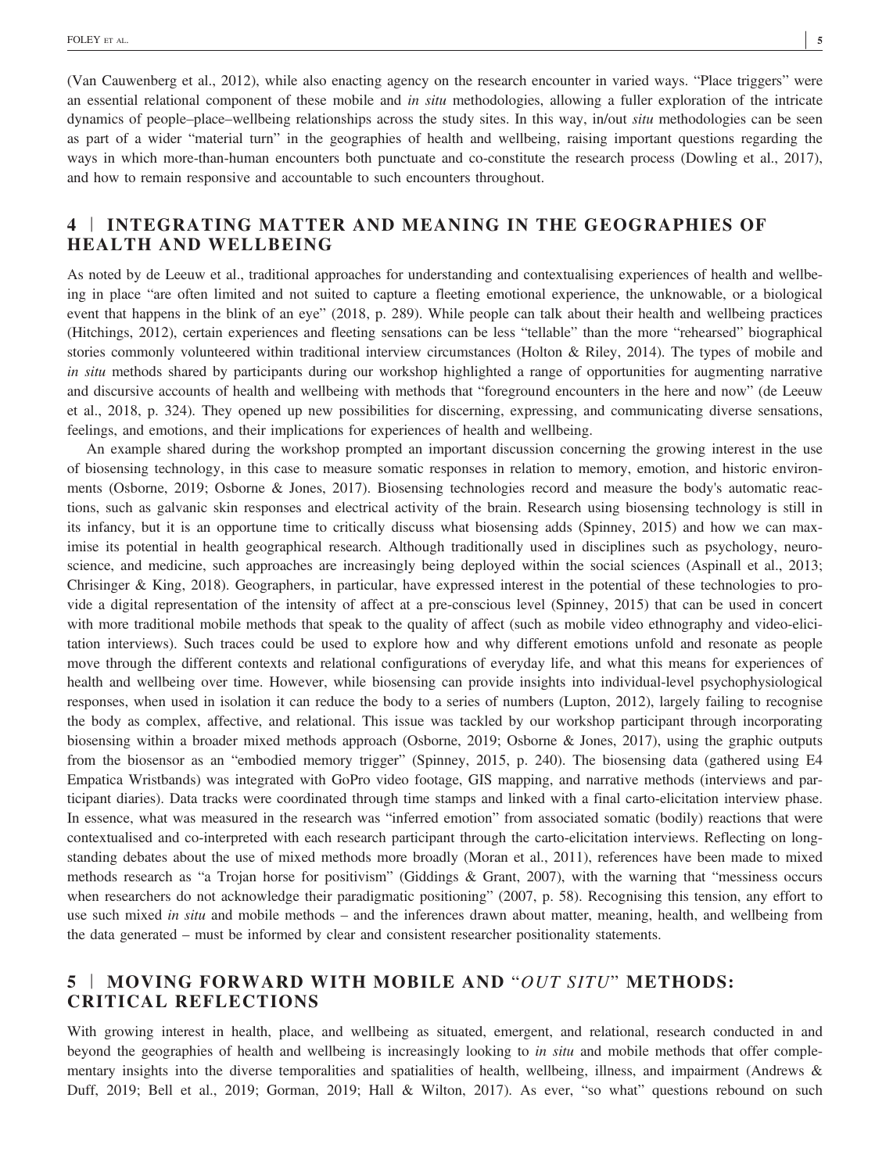(Van Cauwenberg et al., 2012), while also enacting agency on the research encounter in varied ways. "Place triggers" were an essential relational component of these mobile and in situ methodologies, allowing a fuller exploration of the intricate dynamics of people–place–wellbeing relationships across the study sites. In this way, in/out *situ* methodologies can be seen as part of a wider "material turn" in the geographies of health and wellbeing, raising important questions regarding the ways in which more-than-human encounters both punctuate and co-constitute the research process (Dowling et al., 2017), and how to remain responsive and accountable to such encounters throughout.

# 4 | INTEGRATING MATTER AND MEANING IN THE GEOGRAPHIES OF HEALTH AND WELLBEING

As noted by de Leeuw et al., traditional approaches for understanding and contextualising experiences of health and wellbeing in place "are often limited and not suited to capture a fleeting emotional experience, the unknowable, or a biological event that happens in the blink of an eye" (2018, p. 289). While people can talk about their health and wellbeing practices (Hitchings, 2012), certain experiences and fleeting sensations can be less "tellable" than the more "rehearsed" biographical stories commonly volunteered within traditional interview circumstances (Holton & Riley, 2014). The types of mobile and in situ methods shared by participants during our workshop highlighted a range of opportunities for augmenting narrative and discursive accounts of health and wellbeing with methods that "foreground encounters in the here and now" (de Leeuw et al., 2018, p. 324). They opened up new possibilities for discerning, expressing, and communicating diverse sensations, feelings, and emotions, and their implications for experiences of health and wellbeing.

An example shared during the workshop prompted an important discussion concerning the growing interest in the use of biosensing technology, in this case to measure somatic responses in relation to memory, emotion, and historic environments (Osborne, 2019; Osborne & Jones, 2017). Biosensing technologies record and measure the body's automatic reactions, such as galvanic skin responses and electrical activity of the brain. Research using biosensing technology is still in its infancy, but it is an opportune time to critically discuss what biosensing adds (Spinney, 2015) and how we can maximise its potential in health geographical research. Although traditionally used in disciplines such as psychology, neuroscience, and medicine, such approaches are increasingly being deployed within the social sciences (Aspinall et al., 2013; Chrisinger & King, 2018). Geographers, in particular, have expressed interest in the potential of these technologies to provide a digital representation of the intensity of affect at a pre‐conscious level (Spinney, 2015) that can be used in concert with more traditional mobile methods that speak to the quality of affect (such as mobile video ethnography and video-elicitation interviews). Such traces could be used to explore how and why different emotions unfold and resonate as people move through the different contexts and relational configurations of everyday life, and what this means for experiences of health and wellbeing over time. However, while biosensing can provide insights into individual-level psychophysiological responses, when used in isolation it can reduce the body to a series of numbers (Lupton, 2012), largely failing to recognise the body as complex, affective, and relational. This issue was tackled by our workshop participant through incorporating biosensing within a broader mixed methods approach (Osborne, 2019; Osborne & Jones, 2017), using the graphic outputs from the biosensor as an "embodied memory trigger" (Spinney, 2015, p. 240). The biosensing data (gathered using E4 Empatica Wristbands) was integrated with GoPro video footage, GIS mapping, and narrative methods (interviews and participant diaries). Data tracks were coordinated through time stamps and linked with a final carto‐elicitation interview phase. In essence, what was measured in the research was "inferred emotion" from associated somatic (bodily) reactions that were contextualised and co-interpreted with each research participant through the carto-elicitation interviews. Reflecting on longstanding debates about the use of mixed methods more broadly (Moran et al., 2011), references have been made to mixed methods research as "a Trojan horse for positivism" (Giddings & Grant, 2007), with the warning that "messiness occurs when researchers do not acknowledge their paradigmatic positioning" (2007, p. 58). Recognising this tension, any effort to use such mixed in situ and mobile methods – and the inferences drawn about matter, meaning, health, and wellbeing from the data generated – must be informed by clear and consistent researcher positionality statements.

# 5 | MOVING FORWARD WITH MOBILE AND "OUT SITU" METHODS: CRITICAL REFLECTIONS

With growing interest in health, place, and wellbeing as situated, emergent, and relational, research conducted in and beyond the geographies of health and wellbeing is increasingly looking to *in situ* and mobile methods that offer complementary insights into the diverse temporalities and spatialities of health, wellbeing, illness, and impairment (Andrews & Duff, 2019; Bell et al., 2019; Gorman, 2019; Hall & Wilton, 2017). As ever, "so what" questions rebound on such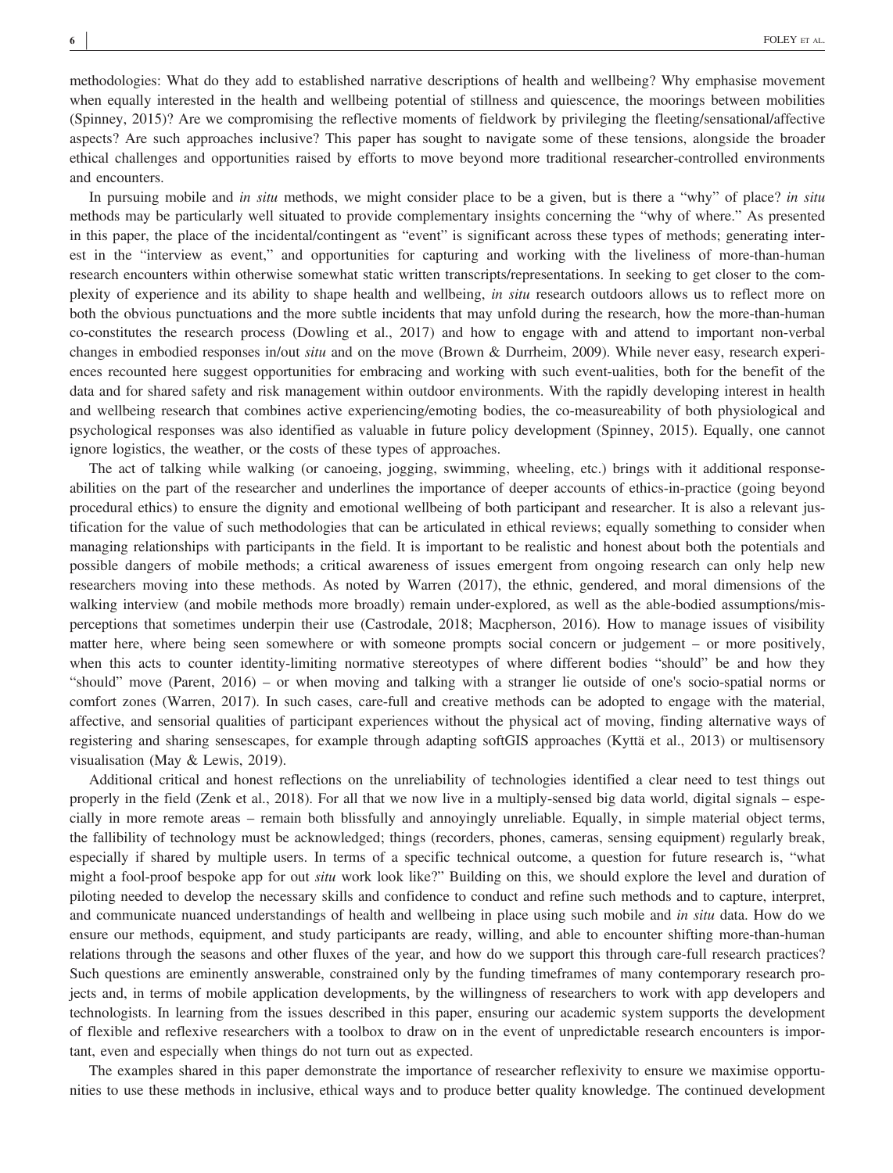methodologies: What do they add to established narrative descriptions of health and wellbeing? Why emphasise movement when equally interested in the health and wellbeing potential of stillness and quiescence, the moorings between mobilities (Spinney, 2015)? Are we compromising the reflective moments of fieldwork by privileging the fleeting/sensational/affective aspects? Are such approaches inclusive? This paper has sought to navigate some of these tensions, alongside the broader ethical challenges and opportunities raised by efforts to move beyond more traditional researcher-controlled environments and encounters.

In pursuing mobile and in situ methods, we might consider place to be a given, but is there a "why" of place? in situ methods may be particularly well situated to provide complementary insights concerning the "why of where." As presented in this paper, the place of the incidental/contingent as "event" is significant across these types of methods; generating interest in the "interview as event," and opportunities for capturing and working with the liveliness of more-than-human research encounters within otherwise somewhat static written transcripts/representations. In seeking to get closer to the complexity of experience and its ability to shape health and wellbeing, in situ research outdoors allows us to reflect more on both the obvious punctuations and the more subtle incidents that may unfold during the research, how the more-than-human co-constitutes the research process (Dowling et al., 2017) and how to engage with and attend to important non-verbal changes in embodied responses in/out *situ* and on the move (Brown & Durrheim, 2009). While never easy, research experiences recounted here suggest opportunities for embracing and working with such event-ualities, both for the benefit of the data and for shared safety and risk management within outdoor environments. With the rapidly developing interest in health and wellbeing research that combines active experiencing/emoting bodies, the co-measureability of both physiological and psychological responses was also identified as valuable in future policy development (Spinney, 2015). Equally, one cannot ignore logistics, the weather, or the costs of these types of approaches.

The act of talking while walking (or canoeing, jogging, swimming, wheeling, etc.) brings with it additional response abilities on the part of the researcher and underlines the importance of deeper accounts of ethics‐in‐practice (going beyond procedural ethics) to ensure the dignity and emotional wellbeing of both participant and researcher. It is also a relevant justification for the value of such methodologies that can be articulated in ethical reviews; equally something to consider when managing relationships with participants in the field. It is important to be realistic and honest about both the potentials and possible dangers of mobile methods; a critical awareness of issues emergent from ongoing research can only help new researchers moving into these methods. As noted by Warren (2017), the ethnic, gendered, and moral dimensions of the walking interview (and mobile methods more broadly) remain under-explored, as well as the able-bodied assumptions/misperceptions that sometimes underpin their use (Castrodale, 2018; Macpherson, 2016). How to manage issues of visibility matter here, where being seen somewhere or with someone prompts social concern or judgement – or more positively, when this acts to counter identity-limiting normative stereotypes of where different bodies "should" be and how they "should" move (Parent, 2016) – or when moving and talking with a stranger lie outside of one's socio‐spatial norms or comfort zones (Warren, 2017). In such cases, care-full and creative methods can be adopted to engage with the material, affective, and sensorial qualities of participant experiences without the physical act of moving, finding alternative ways of registering and sharing sensescapes, for example through adapting softGIS approaches (Kyttä et al., 2013) or multisensory visualisation (May & Lewis, 2019).

Additional critical and honest reflections on the unreliability of technologies identified a clear need to test things out properly in the field (Zenk et al., 2018). For all that we now live in a multiply‐sensed big data world, digital signals – especially in more remote areas – remain both blissfully and annoyingly unreliable. Equally, in simple material object terms, the fallibility of technology must be acknowledged; things (recorders, phones, cameras, sensing equipment) regularly break, especially if shared by multiple users. In terms of a specific technical outcome, a question for future research is, "what might a fool-proof bespoke app for out *situ* work look like?" Building on this, we should explore the level and duration of piloting needed to develop the necessary skills and confidence to conduct and refine such methods and to capture, interpret, and communicate nuanced understandings of health and wellbeing in place using such mobile and in situ data. How do we ensure our methods, equipment, and study participants are ready, willing, and able to encounter shifting more-than-human relations through the seasons and other fluxes of the year, and how do we support this through care‐full research practices? Such questions are eminently answerable, constrained only by the funding timeframes of many contemporary research projects and, in terms of mobile application developments, by the willingness of researchers to work with app developers and technologists. In learning from the issues described in this paper, ensuring our academic system supports the development of flexible and reflexive researchers with a toolbox to draw on in the event of unpredictable research encounters is important, even and especially when things do not turn out as expected.

The examples shared in this paper demonstrate the importance of researcher reflexivity to ensure we maximise opportunities to use these methods in inclusive, ethical ways and to produce better quality knowledge. The continued development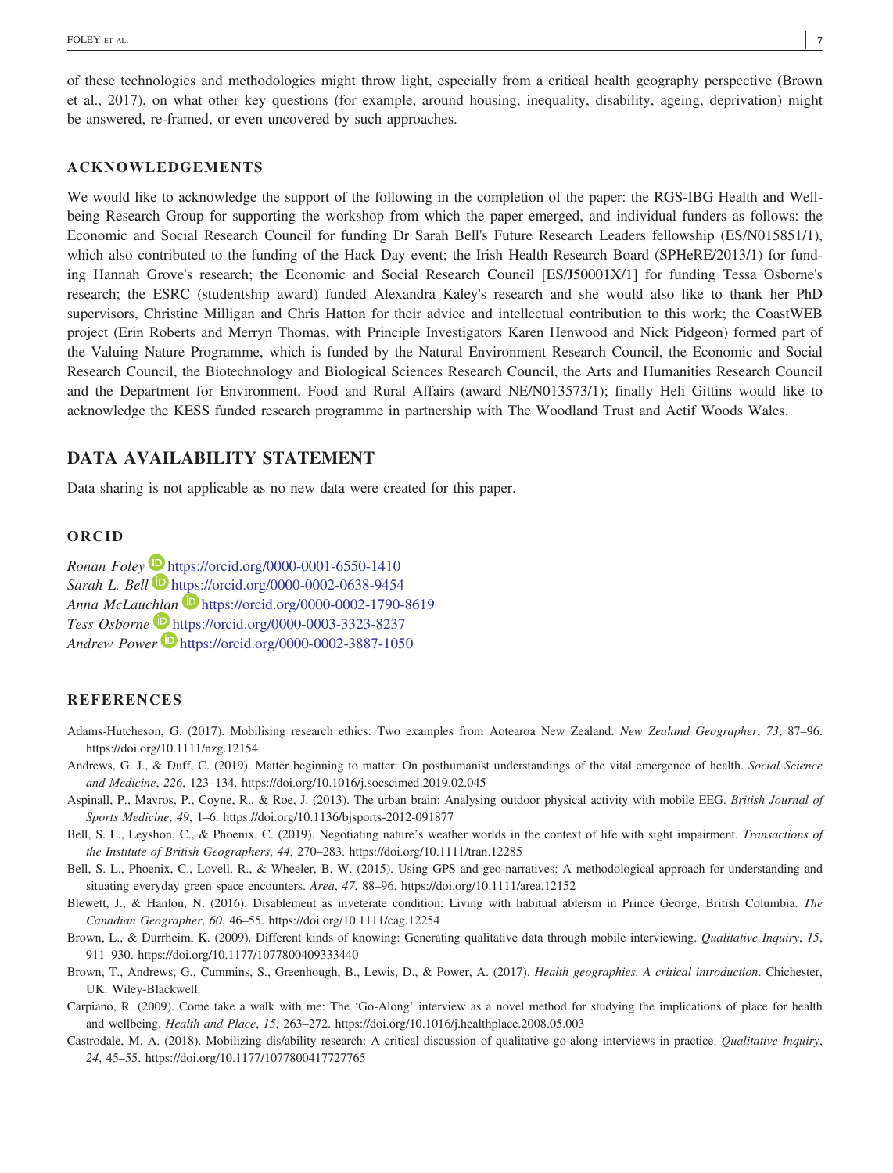of these technologies and methodologies might throw light, especially from a critical health geography perspective (Brown et al., 2017), on what other key questions (for example, around housing, inequality, disability, ageing, deprivation) might be answered, re-framed, or even uncovered by such approaches.

#### ACKNOWLEDGEMENTS

We would like to acknowledge the support of the following in the completion of the paper: the RGS‐IBG Health and Wellbeing Research Group for supporting the workshop from which the paper emerged, and individual funders as follows: the Economic and Social Research Council for funding Dr Sarah Bell's Future Research Leaders fellowship (ES/N015851/1), which also contributed to the funding of the Hack Day event; the Irish Health Research Board (SPHeRE/2013/1) for funding Hannah Grove's research; the Economic and Social Research Council [ES/J50001X/1] for funding Tessa Osborne's research; the ESRC (studentship award) funded Alexandra Kaley's research and she would also like to thank her PhD supervisors, Christine Milligan and Chris Hatton for their advice and intellectual contribution to this work; the CoastWEB project (Erin Roberts and Merryn Thomas, with Principle Investigators Karen Henwood and Nick Pidgeon) formed part of the Valuing Nature Programme, which is funded by the Natural Environment Research Council, the Economic and Social Research Council, the Biotechnology and Biological Sciences Research Council, the Arts and Humanities Research Council and the Department for Environment, Food and Rural Affairs (award NE/N013573/1); finally Heli Gittins would like to acknowledge the KESS funded research programme in partnership with The Woodland Trust and Actif Woods Wales.

# DATA AVAILABILITY STATEMENT

Data sharing is not applicable as no new data were created for this paper.

#### ORCID

Ronan Foley https://orcid.org/0000-0001-6550-1410 Sarah L. Bell https://orcid.org/0000-0002-0638-9454 Anna McLauchlan https://orcid.org/0000-0002-1790-8619 Tess Osborne https://orcid.org/0000-0003-3323-8237 Andrew Power **https://orcid.org/0000-0002-3887-1050** 

#### REFERENCES

- Adams‐Hutcheson, G. (2017). Mobilising research ethics: Two examples from Aotearoa New Zealand. New Zealand Geographer, 73, 87–96. <https://doi.org/10.1111/nzg.12154>
- Andrews, G. J., & Duff, C. (2019). Matter beginning to matter: On posthumanist understandings of the vital emergence of health. Social Science and Medicine, 226, 123–134.<https://doi.org/10.1016/j.socscimed.2019.02.045>
- Aspinall, P., Mavros, P., Coyne, R., & Roe, J. (2013). The urban brain: Analysing outdoor physical activity with mobile EEG. British Journal of Sports Medicine, 49, 1–6.<https://doi.org/10.1136/bjsports-2012-091877>
- Bell, S. L., Leyshon, C., & Phoenix, C. (2019). Negotiating nature's weather worlds in the context of life with sight impairment. Transactions of the Institute of British Geographers, 44, 270–283.<https://doi.org/10.1111/tran.12285>
- Bell, S. L., Phoenix, C., Lovell, R., & Wheeler, B. W. (2015). Using GPS and geo-narratives: A methodological approach for understanding and situating everyday green space encounters. Area, 47, 88–96.<https://doi.org/10.1111/area.12152>
- Blewett, J., & Hanlon, N. (2016). Disablement as inveterate condition: Living with habitual ableism in Prince George, British Columbia. The Canadian Geographer, 60, 46–55.<https://doi.org/10.1111/cag.12254>
- Brown, L., & Durrheim, K. (2009). Different kinds of knowing: Generating qualitative data through mobile interviewing. Qualitative Inquiry, 15, 911–930.<https://doi.org/10.1177/1077800409333440>
- Brown, T., Andrews, G., Cummins, S., Greenhough, B., Lewis, D., & Power, A. (2017). Health geographies. A critical introduction. Chichester, UK: Wiley‐Blackwell.
- Carpiano, R. (2009). Come take a walk with me: The 'Go‐Along' interview as a novel method for studying the implications of place for health and wellbeing. Health and Place, 15, 263–272.<https://doi.org/10.1016/j.healthplace.2008.05.003>
- Castrodale, M. A. (2018). Mobilizing dis/ability research: A critical discussion of qualitative go-along interviews in practice. Qualitative Inquiry, 24, 45–55.<https://doi.org/10.1177/1077800417727765>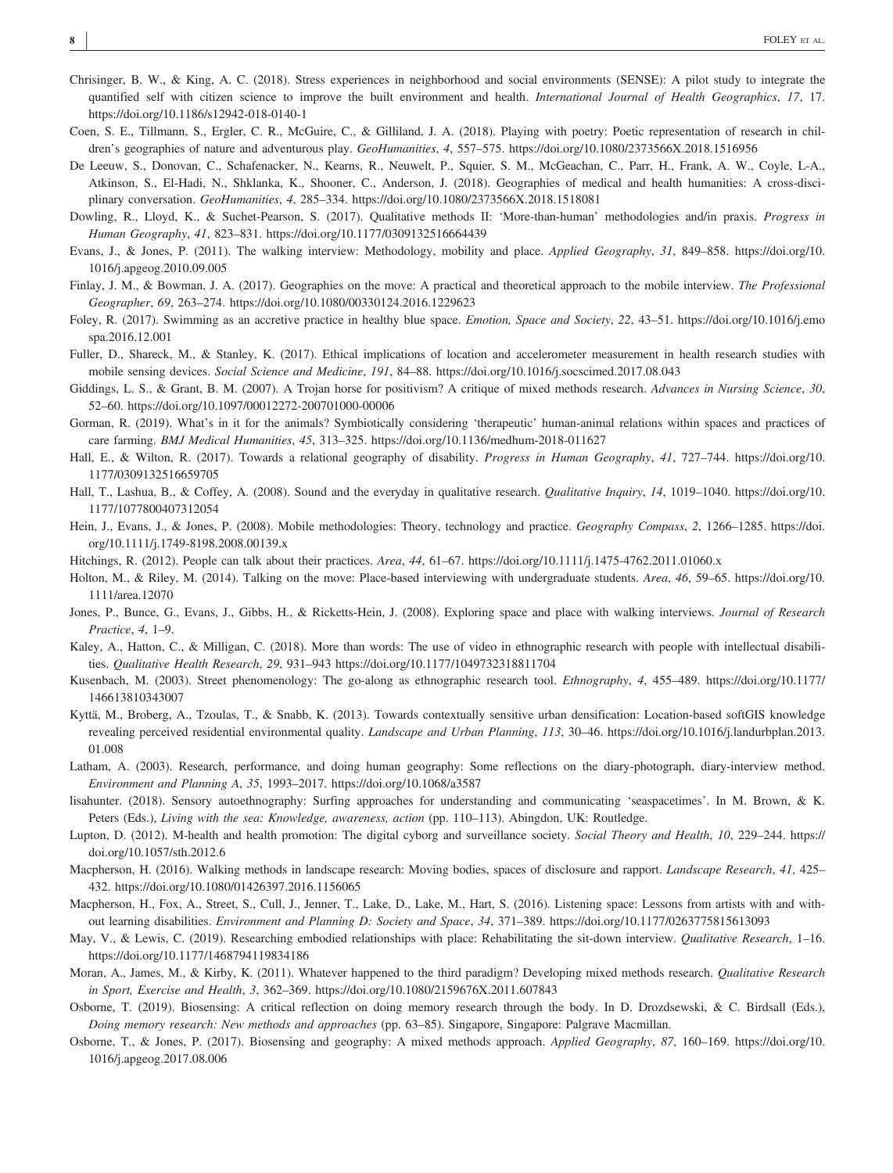- Chrisinger, B. W., & King, A. C. (2018). Stress experiences in neighborhood and social environments (SENSE): A pilot study to integrate the quantified self with citizen science to improve the built environment and health. International Journal of Health Geographics, 17, 17. <https://doi.org/10.1186/s12942-018-0140-1>
- Coen, S. E., Tillmann, S., Ergler, C. R., McGuire, C., & Gilliland, J. A. (2018). Playing with poetry: Poetic representation of research in children's geographies of nature and adventurous play. GeoHumanities, 4, 557-575.<https://doi.org/10.1080/2373566X.2018.1516956>
- De Leeuw, S., Donovan, C., Schafenacker, N., Kearns, R., Neuwelt, P., Squier, S. M., McGeachan, C., Parr, H., Frank, A. W., Coyle, L‐A., Atkinson, S., El‐Hadi, N., Shklanka, K., Shooner, C., Anderson, J. (2018). Geographies of medical and health humanities: A cross‐disciplinary conversation. GeoHumanities, 4, 285–334.<https://doi.org/10.1080/2373566X.2018.1518081>
- Dowling, R., Lloyd, K., & Suchet-Pearson, S. (2017). Qualitative methods II: 'More-than-human' methodologies and/in praxis. Progress in Human Geography, 41, 823–831.<https://doi.org/10.1177/0309132516664439>
- Evans, J., & Jones, P. (2011). The walking interview: Methodology, mobility and place. Applied Geography, 31, 849–858. [https://doi.org/10.](https://doi.org/10.1016/j.apgeog.2010.09.005) [1016/j.apgeog.2010.09.005](https://doi.org/10.1016/j.apgeog.2010.09.005)
- Finlay, J. M., & Bowman, J. A. (2017). Geographies on the move: A practical and theoretical approach to the mobile interview. The Professional Geographer, 69, 263–274.<https://doi.org/10.1080/00330124.2016.1229623>
- Foley, R. (2017). Swimming as an accretive practice in healthy blue space. *Emotion, Space and Society, 22, 43–51.* [https://doi.org/10.1016/j.emo](https://doi.org/10.1016/j.emospa.2016.12.001) [spa.2016.12.001](https://doi.org/10.1016/j.emospa.2016.12.001)
- Fuller, D., Shareck, M., & Stanley, K. (2017). Ethical implications of location and accelerometer measurement in health research studies with mobile sensing devices. Social Science and Medicine, 191, 84–88.<https://doi.org/10.1016/j.socscimed.2017.08.043>
- Giddings, L. S., & Grant, B. M. (2007). A Trojan horse for positivism? A critique of mixed methods research. Advances in Nursing Science, 30, 52–60.<https://doi.org/10.1097/00012272-200701000-00006>
- Gorman, R. (2019). What's in it for the animals? Symbiotically considering 'therapeutic' human-animal relations within spaces and practices of care farming. BMJ Medical Humanities, 45, 313–325.<https://doi.org/10.1136/medhum-2018-011627>
- Hall, E., & Wilton, R. (2017). Towards a relational geography of disability. Progress in Human Geography, 41, 727–744. [https://doi.org/10.](https://doi.org/10.1177/0309132516659705) [1177/0309132516659705](https://doi.org/10.1177/0309132516659705)
- Hall, T., Lashua, B., & Coffey, A. (2008). Sound and the everyday in qualitative research. Qualitative Inquiry, 14, 1019–1040. [https://doi.org/10.](https://doi.org/10.1177/1077800407312054) [1177/1077800407312054](https://doi.org/10.1177/1077800407312054)
- Hein, J., Evans, J., & Jones, P. (2008). Mobile methodologies: Theory, technology and practice. Geography Compass, 2, 1266–1285. [https://doi.](https://doi.org/10.1111/j.1749-8198.2008.00139.x) [org/10.1111/j.1749-8198.2008.00139.x](https://doi.org/10.1111/j.1749-8198.2008.00139.x)
- Hitchings, R. (2012). People can talk about their practices. Area, 44, 61–67.<https://doi.org/10.1111/j.1475-4762.2011.01060.x>
- Holton, M., & Riley, M. (2014). Talking on the move: Place-based interviewing with undergraduate students. Area, 46, 59–65. [https://doi.org/10.](https://doi.org/10.1111/area.12070) [1111/area.12070](https://doi.org/10.1111/area.12070)
- Jones, P., Bunce, G., Evans, J., Gibbs, H., & Ricketts-Hein, J. (2008). Exploring space and place with walking interviews. Journal of Research Practice, 4, 1–9.
- Kaley, A., Hatton, C., & Milligan, C. (2018). More than words: The use of video in ethnographic research with people with intellectual disabilities. Qualitative Health Research, 29, 931–943<https://doi.org/10.1177/1049732318811704>
- Kusenbach, M. (2003). Street phenomenology: The go-along as ethnographic research tool. Ethnography, 4, 455–489. [https://doi.org/10.1177/](https://doi.org/10.1177/146613810343007) [146613810343007](https://doi.org/10.1177/146613810343007)
- Kyttä, M., Broberg, A., Tzoulas, T., & Snabb, K. (2013). Towards contextually sensitive urban densification: Location‐based softGIS knowledge revealing perceived residential environmental quality. Landscape and Urban Planning, 113, 30-46. [https://doi.org/10.1016/j.landurbplan.2013.](https://doi.org/10.1016/j.landurbplan.2013.01.008) [01.008](https://doi.org/10.1016/j.landurbplan.2013.01.008)
- Latham, A. (2003). Research, performance, and doing human geography: Some reflections on the diary‐photograph, diary‐interview method. Environment and Planning A, 35, 1993–2017.<https://doi.org/10.1068/a3587>
- lisahunter. (2018). Sensory autoethnography: Surfing approaches for understanding and communicating 'seaspacetimes'. In M. Brown, & K. Peters (Eds.), Living with the sea: Knowledge, awareness, action (pp. 110–113). Abingdon, UK: Routledge.
- Lupton, D. (2012). M‐health and health promotion: The digital cyborg and surveillance society. Social Theory and Health, 10, 229–244. [https://](https://doi.org/10.1057/sth.2012.6) [doi.org/10.1057/sth.2012.6](https://doi.org/10.1057/sth.2012.6)
- Macpherson, H. (2016). Walking methods in landscape research: Moving bodies, spaces of disclosure and rapport. Landscape Research, 41, 425– 432.<https://doi.org/10.1080/01426397.2016.1156065>
- Macpherson, H., Fox, A., Street, S., Cull, J., Jenner, T., Lake, D., Lake, M., Hart, S. (2016). Listening space: Lessons from artists with and without learning disabilities. Environment and Planning D: Society and Space, 34, 371–389.<https://doi.org/10.1177/0263775815613093>
- May, V., & Lewis, C. (2019). Researching embodied relationships with place: Rehabilitating the sit-down interview. Qualitative Research, 1–16. <https://doi.org/10.1177/1468794119834186>
- Moran, A., James, M., & Kirby, K. (2011). Whatever happened to the third paradigm? Developing mixed methods research. *Qualitative Research* in Sport, Exercise and Health, 3, 362–369.<https://doi.org/10.1080/2159676X.2011.607843>
- Osborne, T. (2019). Biosensing: A critical reflection on doing memory research through the body. In D. Drozdsewski, & C. Birdsall (Eds.), Doing memory research: New methods and approaches (pp. 63–85). Singapore, Singapore: Palgrave Macmillan.
- Osborne, T., & Jones, P. (2017). Biosensing and geography: A mixed methods approach. Applied Geography, 87, 160–169. [https://doi.org/10.](https://doi.org/10.1016/j.apgeog.2017.08.006) [1016/j.apgeog.2017.08.006](https://doi.org/10.1016/j.apgeog.2017.08.006)